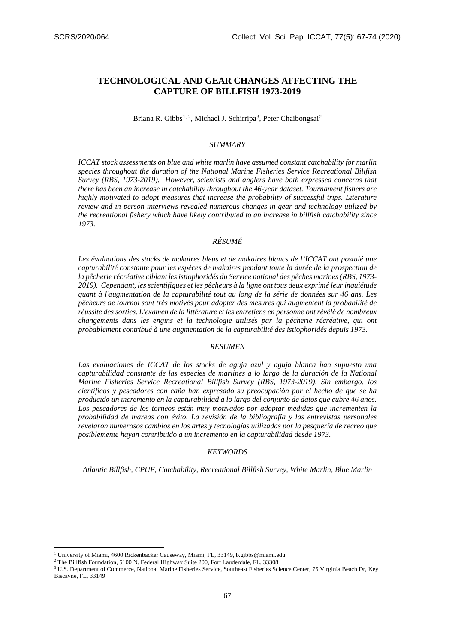# **TECHNOLOGICAL AND GEAR CHANGES AFFECTING THE CAPTURE OF BILLFISH 1973-2019**

## Briana R. Gibbs<sup>[1,](#page-0-0) [2](#page-0-3)</sup>, Michael J. Schirripa<sup>[3](#page-0-2)</sup>, Peter Chaibongsai<sup>2</sup>

## *SUMMARY*

*ICCAT stock assessments on blue and white marlin have assumed constant catchability for marlin species throughout the duration of the National Marine Fisheries Service Recreational Billfish Survey (RBS, 1973-2019). However, scientists and anglers have both expressed concerns that there has been an increase in catchability throughout the 46-year dataset. Tournament fishers are highly motivated to adopt measures that increase the probability of successful trips. Literature review and in-person interviews revealed numerous changes in gear and technology utilized by the recreational fishery which have likely contributed to an increase in billfish catchability since 1973.*

# *RÉSUMÉ*

*Les évaluations des stocks de makaires bleus et de makaires blancs de l'ICCAT ont postulé une capturabilité constante pour les espèces de makaires pendant toute la durée de la prospection de la pêcherie récréative ciblant les istiophoridés du Service national des pêches marines (RBS, 1973- 2019). Cependant, les scientifiques et les pêcheurs à la ligne ont tous deux exprimé leur inquiétude quant à l'augmentation de la capturabilité tout au long de la série de données sur 46 ans. Les pêcheurs de tournoi sont très motivés pour adopter des mesures qui augmentent la probabilité de réussite des sorties. L'examen de la littérature et les entretiens en personne ont révélé de nombreux changements dans les engins et la technologie utilisés par la pêcherie récréative, qui ont probablement contribué à une augmentation de la capturabilité des istiophoridés depuis 1973.*

#### *RESUMEN*

*Las evaluaciones de ICCAT de los stocks de aguja azul y aguja blanca han supuesto una capturabilidad constante de las especies de marlines a lo largo de la duración de la National Marine Fisheries Service Recreational Billfish Survey (RBS, 1973-2019). Sin embargo, los científicos y pescadores con caña han expresado su preocupación por el hecho de que se ha producido un incremento en la capturabilidad a lo largo del conjunto de datos que cubre 46 años. Los pescadores de los torneos están muy motivados por adoptar medidas que incrementen la probabilidad de mareas con éxito. La revisión de la bibliografía y las entrevistas personales revelaron numerosos cambios en los artes y tecnologías utilizadas por la pesquería de recreo que posiblemente hayan contribuido a un incremento en la capturabilidad desde 1973.*

#### *KEYWORDS*

*Atlantic Billfish, CPUE, Catchability, Recreational Billfish Survey, White Marlin, Blue Marlin*

<sup>&</sup>lt;sup>1</sup> University of Miami, 4600 Rickenbacker Causeway, Miami, FL, 33149, b.gibbs@miami.edu

<span id="page-0-2"></span><span id="page-0-1"></span><span id="page-0-0"></span><sup>&</sup>lt;sup>2</sup> The Billfish Foundation, 5100 N. Federal Highway Suite 200, Fort Lauderdale, FL, 33308

<span id="page-0-3"></span><sup>3</sup> U.S. Department of Commerce, National Marine Fisheries Service, Southeast Fisheries Science Center, 75 Virginia Beach Dr, Key Biscayne, FL, 33149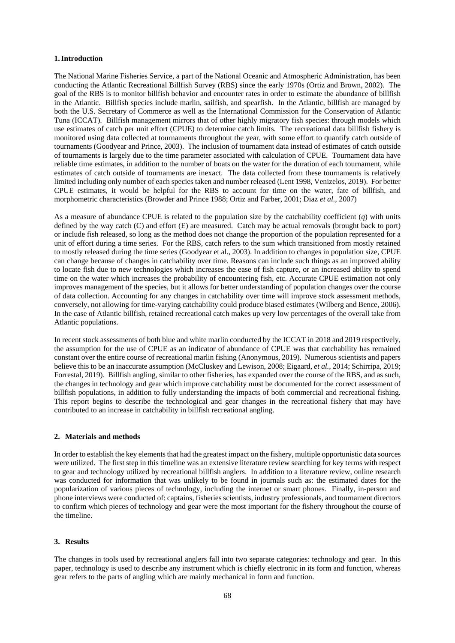## **1.Introduction**

The National Marine Fisheries Service, a part of the National Oceanic and Atmospheric Administration, has been conducting the Atlantic Recreational Billfish Survey (RBS) since the early 1970s (Ortiz and Brown, 2002). The goal of the RBS is to monitor billfish behavior and encounter rates in order to estimate the abundance of billfish in the Atlantic. Billfish species include marlin, sailfish, and spearfish. In the Atlantic, billfish are managed by both the U.S. Secretary of Commerce as well as the International Commission for the Conservation of Atlantic Tuna (ICCAT). Billfish management mirrors that of other highly migratory fish species: through models which use estimates of catch per unit effort (CPUE) to determine catch limits. The recreational data billfish fishery is monitored using data collected at tournaments throughout the year, with some effort to quantify catch outside of tournaments (Goodyear and Prince, 2003). The inclusion of tournament data instead of estimates of catch outside of tournaments is largely due to the time parameter associated with calculation of CPUE. Tournament data have reliable time estimates, in addition to the number of boats on the water for the duration of each tournament, while estimates of catch outside of tournaments are inexact. The data collected from these tournaments is relatively limited including only number of each species taken and number released (Lent 1998, Venizelos, 2019). For better CPUE estimates, it would be helpful for the RBS to account for time on the water, fate of billfish, and morphometric characteristics (Browder and Prince 1988; Ortiz and Farber, 2001; Diaz *et al.,* 2007)

As a measure of abundance CPUE is related to the population size by the catchability coefficient (*q*) with units defined by the way catch (C) and effort (E) are measured. Catch may be actual removals (brought back to port) or include fish released, so long as the method does not change the proportion of the population represented for a unit of effort during a time series. For the RBS, catch refers to the sum which transitioned from mostly retained to mostly released during the time series (Goodyear et al., 2003). In addition to changes in population size, CPUE can change because of changes in catchability over time. Reasons can include such things as an improved ability to locate fish due to new technologies which increases the ease of fish capture, or an increased ability to spend time on the water which increases the probability of encountering fish, etc. Accurate CPUE estimation not only improves management of the species, but it allows for better understanding of population changes over the course of data collection. Accounting for any changes in catchability over time will improve stock assessment methods, conversely, not allowing for time-varying catchability could produce biased estimates (Wilberg and Bence, 2006). In the case of Atlantic billfish, retained recreational catch makes up very low percentages of the overall take from Atlantic populations.

In recent stock assessments of both blue and white marlin conducted by the ICCAT in 2018 and 2019 respectively, the assumption for the use of CPUE as an indicator of abundance of CPUE was that catchability has remained constant over the entire course of recreational marlin fishing (Anonymous, 2019). Numerous scientists and papers believe this to be an inaccurate assumption (McCluskey and Lewison, 2008; Eigaard, *et al.,* 2014; Schirripa, 2019; Forrestal, 2019). Billfish angling, similar to other fisheries, has expanded over the course of the RBS, and as such, the changes in technology and gear which improve catchability must be documented for the correct assessment of billfish populations, in addition to fully understanding the impacts of both commercial and recreational fishing. This report begins to describe the technological and gear changes in the recreational fishery that may have contributed to an increase in catchability in billfish recreational angling.

#### **2. Materials and methods**

In order to establish the key elements that had the greatest impact on the fishery, multiple opportunistic data sources were utilized. The first step in this timeline was an extensive literature review searching for key terms with respect to gear and technology utilized by recreational billfish anglers. In addition to a literature review, online research was conducted for information that was unlikely to be found in journals such as: the estimated dates for the popularization of various pieces of technology, including the internet or smart phones. Finally, in-person and phone interviews were conducted of: captains, fisheries scientists, industry professionals, and tournament directors to confirm which pieces of technology and gear were the most important for the fishery throughout the course of the timeline.

## **3. Results**

The changes in tools used by recreational anglers fall into two separate categories: technology and gear. In this paper, technology is used to describe any instrument which is chiefly electronic in its form and function, whereas gear refers to the parts of angling which are mainly mechanical in form and function.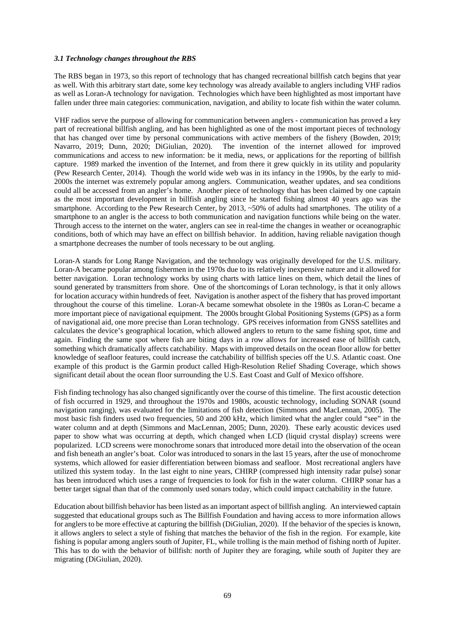## *3.1 Technology changes throughout the RBS*

The RBS began in 1973, so this report of technology that has changed recreational billfish catch begins that year as well. With this arbitrary start date, some key technology was already available to anglers including VHF radios as well as Loran-A technology for navigation. Technologies which have been highlighted as most important have fallen under three main categories: communication, navigation, and ability to locate fish within the water column.

VHF radios serve the purpose of allowing for communication between anglers - communication has proved a key part of recreational billfish angling, and has been highlighted as one of the most important pieces of technology that has changed over time by personal communications with active members of the fishery (Bowden, 2019; Navarro, 2019; Dunn, 2020; DiGiulian, 2020). The invention of the internet allowed for improved The invention of the internet allowed for improved communications and access to new information: be it media, news, or applications for the reporting of billfish capture. 1989 marked the invention of the Internet, and from there it grew quickly in its utility and popularity (Pew Research Center, 2014). Though the world wide web was in its infancy in the 1990s, by the early to mid-2000s the internet was extremely popular among anglers. Communication, weather updates, and sea conditions could all be accessed from an angler's home. Another piece of technology that has been claimed by one captain as the most important development in billfish angling since he started fishing almost 40 years ago was the smartphone. According to the Pew Research Center, by 2013, ~50% of adults had smartphones. The utility of a smartphone to an angler is the access to both communication and navigation functions while being on the water. Through access to the internet on the water, anglers can see in real-time the changes in weather or oceanographic conditions, both of which may have an effect on billfish behavior. In addition, having reliable navigation though a smartphone decreases the number of tools necessary to be out angling.

Loran-A stands for Long Range Navigation, and the technology was originally developed for the U.S. military. Loran-A became popular among fishermen in the 1970s due to its relatively inexpensive nature and it allowed for better navigation. Loran technology works by using charts with lattice lines on them, which detail the lines of sound generated by transmitters from shore. One of the shortcomings of Loran technology, is that it only allows for location accuracy within hundreds of feet. Navigation is another aspect of the fishery that has proved important throughout the course of this timeline. Loran-A became somewhat obsolete in the 1980s as Loran-C became a more important piece of navigational equipment. The 2000s brought Global Positioning Systems (GPS) as a form of navigational aid, one more precise than Loran technology. GPS receives information from GNSS satellites and calculates the device's geographical location, which allowed anglers to return to the same fishing spot, time and again. Finding the same spot where fish are biting days in a row allows for increased ease of billfish catch, something which dramatically affects catchability. Maps with improved details on the ocean floor allow for better knowledge of seafloor features, could increase the catchability of billfish species off the U.S. Atlantic coast. One example of this product is the Garmin product called High-Resolution Relief Shading Coverage, which shows significant detail about the ocean floor surrounding the U.S. East Coast and Gulf of Mexico offshore.

Fish finding technology has also changed significantly over the course of this timeline. The first acoustic detection of fish occurred in 1929, and throughout the 1970s and 1980s, acoustic technology, including SONAR (sound navigation ranging), was evaluated for the limitations of fish detection (Simmons and MacLennan, 2005). The most basic fish finders used two frequencies, 50 and 200 kHz, which limited what the angler could "see" in the water column and at depth (Simmons and MacLennan, 2005; Dunn, 2020). These early acoustic devices used paper to show what was occurring at depth, which changed when LCD (liquid crystal display) screens were popularized. LCD screens were monochrome sonars that introduced more detail into the observation of the ocean and fish beneath an angler's boat. Color was introduced to sonars in the last 15 years, after the use of monochrome systems, which allowed for easier differentiation between biomass and seafloor. Most recreational anglers have utilized this system today. In the last eight to nine years, CHIRP (compressed high intensity radar pulse) sonar has been introduced which uses a range of frequencies to look for fish in the water column. CHIRP sonar has a better target signal than that of the commonly used sonars today, which could impact catchability in the future.

Education about billfish behavior has been listed as an important aspect of billfish angling. An interviewed captain suggested that educational groups such as The Billfish Foundation and having access to more information allows for anglers to be more effective at capturing the billfish (DiGiulian, 2020). If the behavior of the species is known, it allows anglers to select a style of fishing that matches the behavior of the fish in the region. For example, kite fishing is popular among anglers south of Jupiter, FL, while trolling is the main method of fishing north of Jupiter. This has to do with the behavior of billfish: north of Jupiter they are foraging, while south of Jupiter they are migrating (DiGiulian, 2020).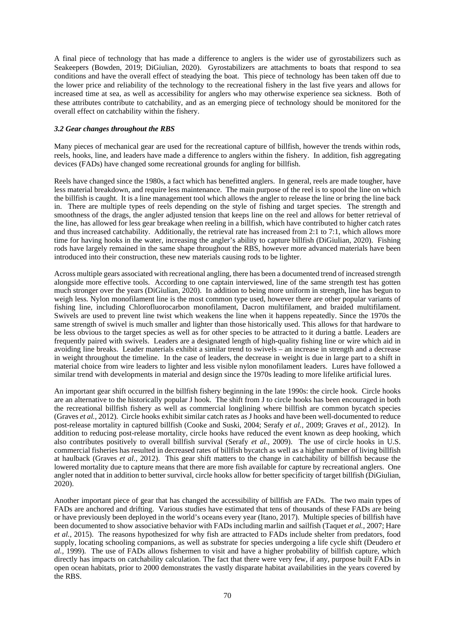A final piece of technology that has made a difference to anglers is the wider use of gyrostabilizers such as Seakeepers (Bowden, 2019; DiGiulian, 2020). Gyrostabilizers are attachments to boats that respond to sea conditions and have the overall effect of steadying the boat. This piece of technology has been taken off due to the lower price and reliability of the technology to the recreational fishery in the last five years and allows for increased time at sea, as well as accessibility for anglers who may otherwise experience sea sickness. Both of these attributes contribute to catchability, and as an emerging piece of technology should be monitored for the overall effect on catchability within the fishery.

## *3.2 Gear changes throughout the RBS*

Many pieces of mechanical gear are used for the recreational capture of billfish, however the trends within rods, reels, hooks, line, and leaders have made a difference to anglers within the fishery. In addition, fish aggregating devices (FADs) have changed some recreational grounds for angling for billfish.

Reels have changed since the 1980s, a fact which has benefitted anglers. In general, reels are made tougher, have less material breakdown, and require less maintenance. The main purpose of the reel is to spool the line on which the billfish is caught. It is a line management tool which allows the angler to release the line or bring the line back in. There are multiple types of reels depending on the style of fishing and target species. The strength and smoothness of the drags, the angler adjusted tension that keeps line on the reel and allows for better retrieval of the line, has allowed for less gear breakage when reeling in a billfish, which have contributed to higher catch rates and thus increased catchability. Additionally, the retrieval rate has increased from 2:1 to 7:1, which allows more time for having hooks in the water, increasing the angler's ability to capture billfish (DiGiulian, 2020). Fishing rods have largely remained in the same shape throughout the RBS, however more advanced materials have been introduced into their construction, these new materials causing rods to be lighter.

Across multiple gears associated with recreational angling, there has been a documented trend of increased strength alongside more effective tools. According to one captain interviewed, line of the same strength test has gotten much stronger over the years (DiGiulian, 2020). In addition to being more uniform in strength, line has begun to weigh less. Nylon monofilament line is the most common type used, however there are other popular variants of fishing line, including Chlorofluorocarbon monofilament, Dacron multifilament, and braided multifilament. Swivels are used to prevent line twist which weakens the line when it happens repeatedly. Since the 1970s the same strength of swivel is much smaller and lighter than those historically used. This allows for that hardware to be less obvious to the target species as well as for other species to be attracted to it during a battle. Leaders are frequently paired with swivels. Leaders are a designated length of high-quality fishing line or wire which aid in avoiding line breaks. Leader materials exhibit a similar trend to swivels – an increase in strength and a decrease in weight throughout the timeline. In the case of leaders, the decrease in weight is due in large part to a shift in material choice from wire leaders to lighter and less visible nylon monofilament leaders. Lures have followed a similar trend with developments in material and design since the 1970s leading to more lifelike artificial lures.

An important gear shift occurred in the billfish fishery beginning in the late 1990s: the circle hook. Circle hooks are an alternative to the historically popular J hook. The shift from J to circle hooks has been encouraged in both the recreational billfish fishery as well as commercial longlining where billfish are common bycatch species (Graves *et al.,* 2012). Circle hooks exhibit similar catch rates as J hooks and have been well-documented to reduce post-release mortality in captured billfish (Cooke and Suski, 2004; Serafy *et al.,* 2009; Graves *et al.,* 2012). In addition to reducing post-release mortality, circle hooks have reduced the event known as deep hooking, which also contributes positively to overall billfish survival (Serafy *et al.,* 2009). The use of circle hooks in U.S. commercial fisheries has resulted in decreased rates of billfish bycatch as well as a higher number of living billfish at haulback (Graves *et al.,* 2012). This gear shift matters to the change in catchability of billfish because the lowered mortality due to capture means that there are more fish available for capture by recreational anglers. One angler noted that in addition to better survival, circle hooks allow for better specificity of target billfish (DiGiulian, 2020).

Another important piece of gear that has changed the accessibility of billfish are FADs. The two main types of FADs are anchored and drifting. Various studies have estimated that tens of thousands of these FADs are being or have previously been deployed in the world's oceans every year (Itano, 2017). Multiple species of billfish have been documented to show associative behavior with FADs including marlin and sailfish (Taquet *et al.,* 2007; Hare *et al.,* 2015). The reasons hypothesized for why fish are attracted to FADs include shelter from predators, food supply, locating schooling companions, as well as substrate for species undergoing a life cycle shift (Deudero *et al.,* 1999). The use of FADs allows fishermen to visit and have a higher probability of billfish capture, which directly has impacts on catchability calculation. The fact that there were very few, if any, purpose built FADs in open ocean habitats, prior to 2000 demonstrates the vastly disparate habitat availabilities in the years covered by the RBS.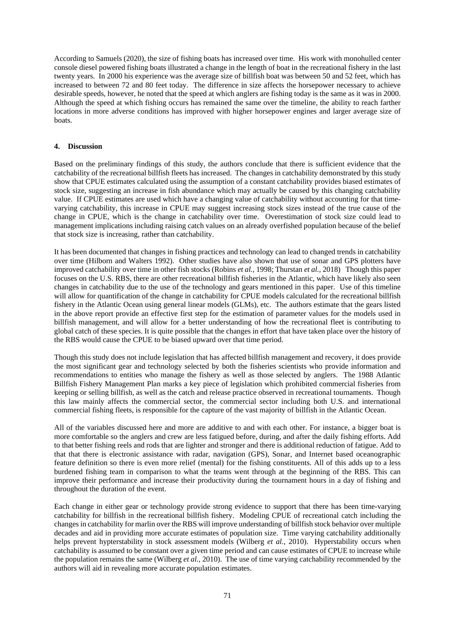According to Samuels (2020), the size of fishing boats has increased over time. His work with monohulled center console diesel powered fishing boats illustrated a change in the length of boat in the recreational fishery in the last twenty years. In 2000 his experience was the average size of billfish boat was between 50 and 52 feet, which has increased to between 72 and 80 feet today. The difference in size affects the horsepower necessary to achieve desirable speeds, however, he noted that the speed at which anglers are fishing today is the same as it was in 2000. Although the speed at which fishing occurs has remained the same over the timeline, the ability to reach farther locations in more adverse conditions has improved with higher horsepower engines and larger average size of boats.

## **4. Discussion**

Based on the preliminary findings of this study, the authors conclude that there is sufficient evidence that the catchability of the recreational billfish fleets has increased. The changes in catchability demonstrated by this study show that CPUE estimates calculated using the assumption of a constant catchability provides biased estimates of stock size, suggesting an increase in fish abundance which may actually be caused by this changing catchability value. If CPUE estimates are used which have a changing value of catchability without accounting for that timevarying catchability, this increase in CPUE may suggest increasing stock sizes instead of the true cause of the change in CPUE, which is the change in catchability over time. Overestimation of stock size could lead to management implications including raising catch values on an already overfished population because of the belief that stock size is increasing, rather than catchability.

It has been documented that changes in fishing practices and technology can lead to changed trends in catchability over time (Hilborn and Walters 1992). Other studies have also shown that use of sonar and GPS plotters have improved catchability over time in other fish stocks (Robins *et al.,* 1998; Thurstan *et al.,* 2018) Though this paper focuses on the U.S. RBS, there are other recreational billfish fisheries in the Atlantic, which have likely also seen changes in catchability due to the use of the technology and gears mentioned in this paper. Use of this timeline will allow for quantification of the change in catchability for CPUE models calculated for the recreational billfish fishery in the Atlantic Ocean using general linear models (GLMs), etc. The authors estimate that the gears listed in the above report provide an effective first step for the estimation of parameter values for the models used in billfish management, and will allow for a better understanding of how the recreational fleet is contributing to global catch of these species. It is quite possible that the changes in effort that have taken place over the history of the RBS would cause the CPUE to be biased upward over that time period.

Though this study does not include legislation that has affected billfish management and recovery, it does provide the most significant gear and technology selected by both the fisheries scientists who provide information and recommendations to entities who manage the fishery as well as those selected by anglers. The 1988 Atlantic Billfish Fishery Management Plan marks a key piece of legislation which prohibited commercial fisheries from keeping or selling billfish, as well as the catch and release practice observed in recreational tournaments. Though this law mainly affects the commercial sector, the commercial sector including both U.S. and international commercial fishing fleets, is responsible for the capture of the vast majority of billfish in the Atlantic Ocean.

All of the variables discussed here and more are additive to and with each other. For instance, a bigger boat is more comfortable so the anglers and crew are less fatigued before, during, and after the daily fishing efforts. Add to that better fishing reels and rods that are lighter and stronger and there is additional reduction of fatigue. Add to that that there is electronic assistance with radar, navigation (GPS), Sonar, and Internet based oceanographic feature definition so there is even more relief (mental) for the fishing constituents. All of this adds up to a less burdened fishing team in comparison to what the teams went through at the beginning of the RBS. This can improve their performance and increase their productivity during the tournament hours in a day of fishing and throughout the duration of the event.

Each change in either gear or technology provide strong evidence to support that there has been time-varying catchability for billfish in the recreational billfish fishery. Modeling CPUE of recreational catch including the changes in catchability for marlin over the RBS will improve understanding of billfish stock behavior over multiple decades and aid in providing more accurate estimates of population size. Time varying catchability additionally helps prevent hypterstability in stock assessment models (Wilberg *et al.,* 2010). Hyperstability occurs when catchability is assumed to be constant over a given time period and can cause estimates of CPUE to increase while the population remains the same (Wilberg *et al.*, 2010). The use of time varying catchability recommended by the authors will aid in revealing more accurate population estimates.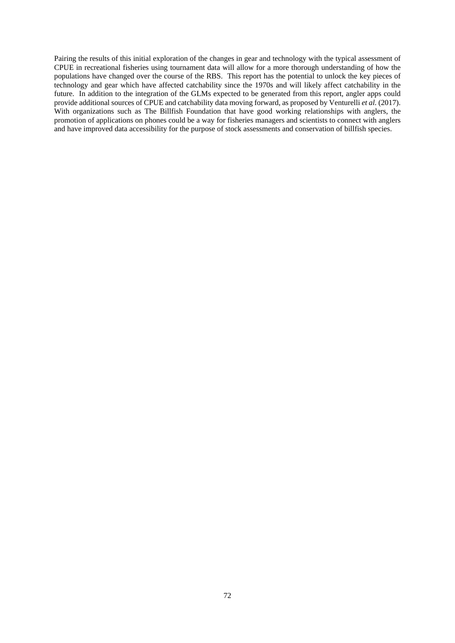Pairing the results of this initial exploration of the changes in gear and technology with the typical assessment of CPUE in recreational fisheries using tournament data will allow for a more thorough understanding of how the populations have changed over the course of the RBS. This report has the potential to unlock the key pieces of technology and gear which have affected catchability since the 1970s and will likely affect catchability in the future. In addition to the integration of the GLMs expected to be generated from this report, angler apps could provide additional sources of CPUE and catchability data moving forward, as proposed by Venturelli *et al.* (2017). With organizations such as The Billfish Foundation that have good working relationships with anglers, the promotion of applications on phones could be a way for fisheries managers and scientists to connect with anglers and have improved data accessibility for the purpose of stock assessments and conservation of billfish species.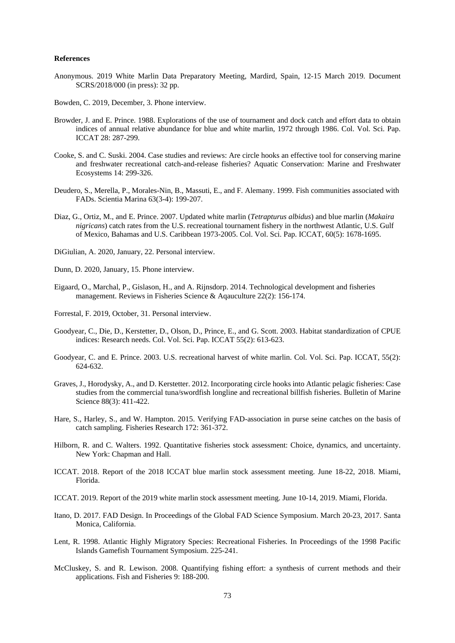#### **References**

- Anonymous. 2019 White Marlin Data Preparatory Meeting, Mardird, Spain, 12-15 March 2019. Document SCRS/2018/000 (in press): 32 pp.
- Bowden, C. 2019, December, 3. Phone interview.
- Browder, J. and E. Prince. 1988. Explorations of the use of tournament and dock catch and effort data to obtain indices of annual relative abundance for blue and white marlin, 1972 through 1986. Col. Vol. Sci. Pap. ICCAT 28: 287-299.
- Cooke, S. and C. Suski. 2004. Case studies and reviews: Are circle hooks an effective tool for conserving marine and freshwater recreational catch-and-release fisheries? Aquatic Conservation: Marine and Freshwater Ecosystems 14: 299-326.
- Deudero, S., Merella, P., Morales-Nin, B., Massuti, E., and F. Alemany. 1999. Fish communities associated with FADs. Scientia Marina 63(3-4): 199-207.
- Diaz, G., Ortiz, M., and E. Prince. 2007. Updated white marlin (*Tetrapturus albidus*) and blue marlin (*Makaira nigricans*) catch rates from the U.S. recreational tournament fishery in the northwest Atlantic, U.S. Gulf of Mexico, Bahamas and U.S. Caribbean 1973-2005. Col. Vol. Sci. Pap. ICCAT, 60(5): 1678-1695.
- DiGiulian, A. 2020, January, 22. Personal interview.
- Dunn, D. 2020, January, 15. Phone interview.
- Eigaard, O., Marchal, P., Gislason, H., and A. Rijnsdorp. 2014. Technological development and fisheries management. Reviews in Fisheries Science & Aqauculture 22(2): 156-174.
- Forrestal, F. 2019, October, 31. Personal interview.
- Goodyear, C., Die, D., Kerstetter, D., Olson, D., Prince, E., and G. Scott. 2003. Habitat standardization of CPUE indices: Research needs. Col. Vol. Sci. Pap. ICCAT 55(2): 613-623.
- Goodyear, C. and E. Prince. 2003. U.S. recreational harvest of white marlin. Col. Vol. Sci. Pap. ICCAT, 55(2): 624-632.
- Graves, J., Horodysky, A., and D. Kerstetter. 2012. Incorporating circle hooks into Atlantic pelagic fisheries: Case studies from the commercial tuna/swordfish longline and recreational billfish fisheries. Bulletin of Marine Science 88(3): 411-422.
- Hare, S., Harley, S., and W. Hampton. 2015. Verifying FAD-association in purse seine catches on the basis of catch sampling. Fisheries Research 172: 361-372.
- Hilborn, R. and C. Walters. 1992. Quantitative fisheries stock assessment: Choice, dynamics, and uncertainty. New York: Chapman and Hall.
- ICCAT. 2018. Report of the 2018 ICCAT blue marlin stock assessment meeting. June 18-22, 2018. Miami, Florida.
- ICCAT. 2019. Report of the 2019 white marlin stock assessment meeting. June 10-14, 2019. Miami, Florida.
- Itano, D. 2017. FAD Design. In Proceedings of the Global FAD Science Symposium. March 20-23, 2017. Santa Monica, California.
- Lent, R. 1998. Atlantic Highly Migratory Species: Recreational Fisheries. In Proceedings of the 1998 Pacific Islands Gamefish Tournament Symposium. 225-241.
- McCluskey, S. and R. Lewison. 2008. Quantifying fishing effort: a synthesis of current methods and their applications. Fish and Fisheries 9: 188-200.